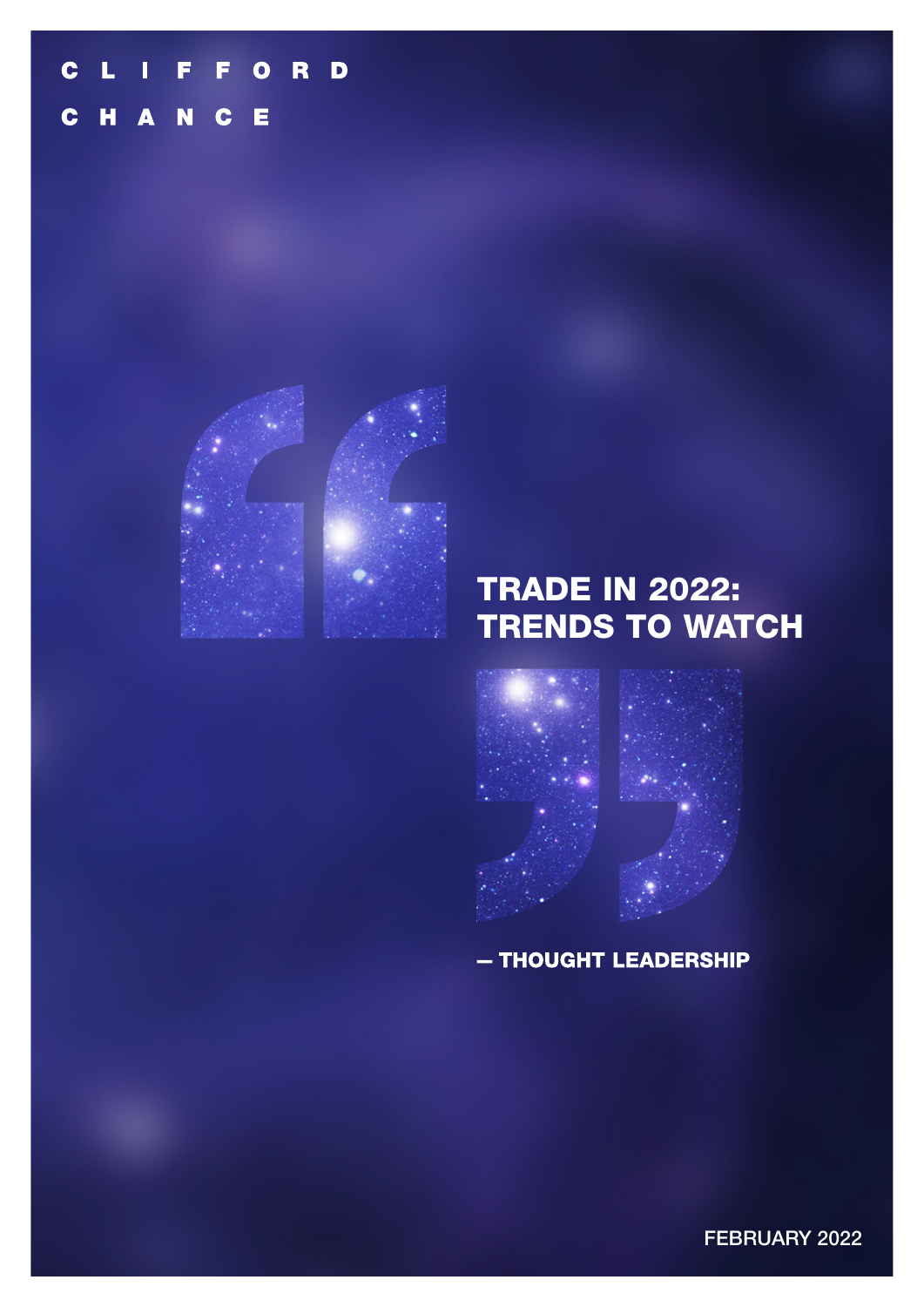#### F RD  $\mathbf C$ L Π F  $\overline{\mathbf{o}}$ N  $\mathbf{H}$ Е  $\mathbf C$ A  $\mathbf C$



# TRADE IN 2022: TRENDS TO WATCH



- THOUGHT LEADERSHIP

FEBRUARY 2022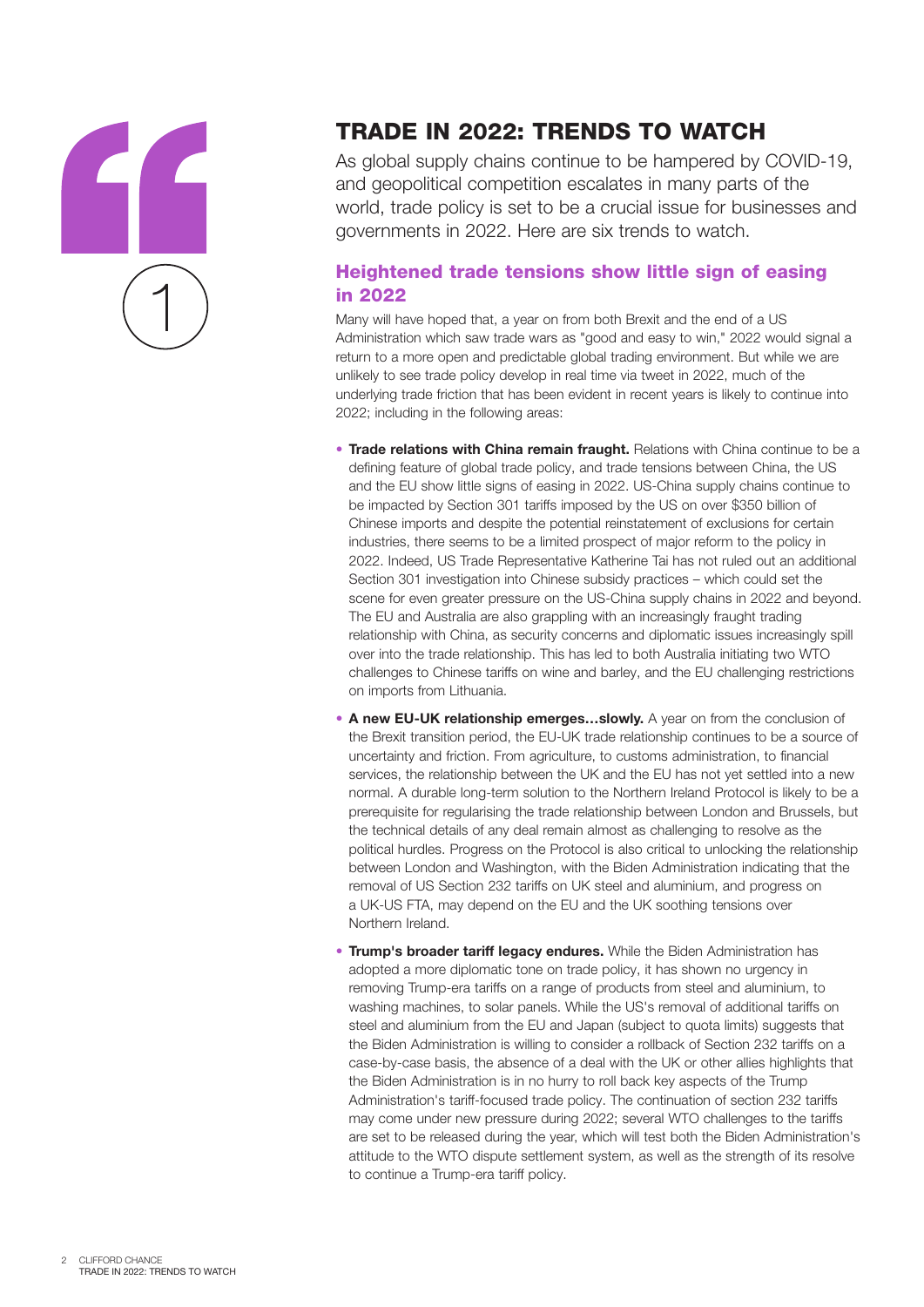

# TRADE IN 2022: TRENDS TO WATCH

As global supply chains continue to be hampered by COVID-19, and geopolitical competition escalates in many parts of the world, trade policy is set to be a crucial issue for businesses and governments in 2022. Here are six trends to watch.

### Heightened trade tensions show little sign of easing in 2022

Many will have hoped that, a year on from both Brexit and the end of a US Administration which saw trade wars as "good and easy to win," 2022 would signal a return to a more open and predictable global trading environment. But while we are unlikely to see trade policy develop in real time via tweet in 2022, much of the underlying trade friction that has been evident in recent years is likely to continue into 2022; including in the following areas:

- **Trade relations with China remain fraught.** Relations with China continue to be a defining feature of global trade policy, and trade tensions between China, the US and the EU show little signs of easing in 2022. US-China supply chains continue to be impacted by Section 301 tariffs imposed by the US on over \$350 billion of Chinese imports and despite the potential reinstatement of exclusions for certain industries, there seems to be a limited prospect of major reform to the policy in 2022. Indeed, US Trade Representative Katherine Tai has not ruled out an additional Section 301 investigation into Chinese subsidy practices – which could set the scene for even greater pressure on the US-China supply chains in 2022 and beyond. The EU and Australia are also grappling with an increasingly fraught trading relationship with China, as security concerns and diplomatic issues increasingly spill over into the trade relationship. This has led to both Australia initiating two WTO challenges to Chinese tariffs on wine and barley, and the EU challenging restrictions on imports from Lithuania.
- A new EU-UK relationship emerges...slowly. A year on from the conclusion of the Brexit transition period, the EU-UK trade relationship continues to be a source of uncertainty and friction. From agriculture, to customs administration, to financial services, the relationship between the UK and the EU has not yet settled into a new normal. A durable long-term solution to the Northern Ireland Protocol is likely to be a prerequisite for regularising the trade relationship between London and Brussels, but the technical details of any deal remain almost as challenging to resolve as the political hurdles. Progress on the Protocol is also critical to unlocking the relationship between London and Washington, with the Biden Administration indicating that the removal of US Section 232 tariffs on UK steel and aluminium, and progress on a UK-US FTA, may depend on the EU and the UK soothing tensions over Northern Ireland.
- **Trump's broader tariff legacy endures.** While the Biden Administration has adopted a more diplomatic tone on trade policy, it has shown no urgency in removing Trump-era tariffs on a range of products from steel and aluminium, to washing machines, to solar panels. While the US's removal of additional tariffs on steel and aluminium from the EU and Japan (subject to quota limits) suggests that the Biden Administration is willing to consider a rollback of Section 232 tariffs on a case-by-case basis, the absence of a deal with the UK or other allies highlights that the Biden Administration is in no hurry to roll back key aspects of the Trump Administration's tariff-focused trade policy. The continuation of section 232 tariffs may come under new pressure during 2022; several WTO challenges to the tariffs are set to be released during the year, which will test both the Biden Administration's attitude to the WTO dispute settlement system, as well as the strength of its resolve to continue a Trump-era tariff policy.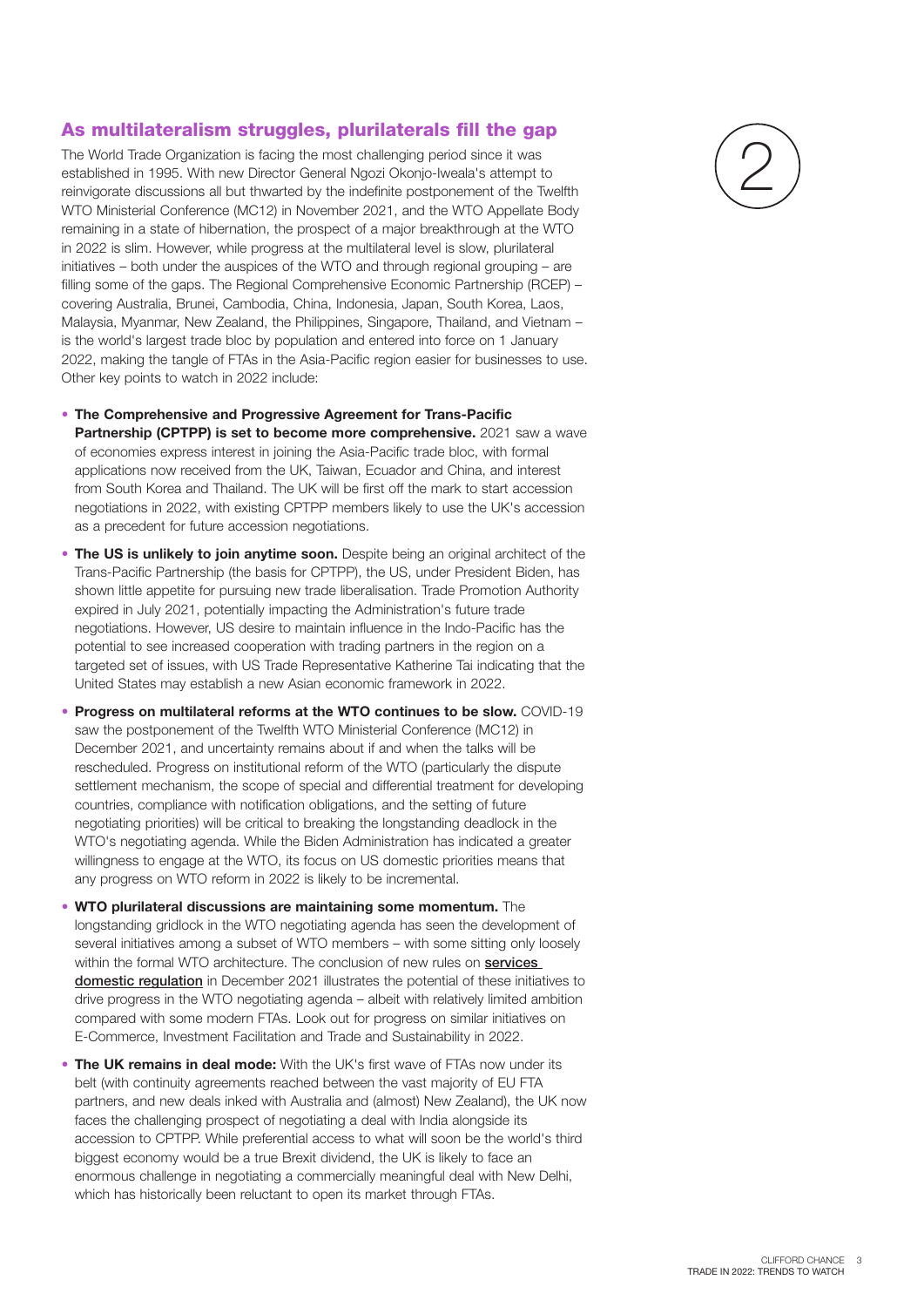#### As multilateralism struggles, plurilaterals fill the gap

The World Trade Organization is facing the most challenging period since it was established in 1995. With new Director General Ngozi Okonjo-Iweala's attempt to reinvigorate discussions all but thwarted by the indefinite postponement of the Twelfth WTO Ministerial Conference (MC12) in November 2021, and the WTO Appellate Body remaining in a state of hibernation, the prospect of a major breakthrough at the WTO in 2022 is slim. However, while progress at the multilateral level is slow, plurilateral initiatives – both under the auspices of the WTO and through regional grouping – are filling some of the gaps. The Regional Comprehensive Economic Partnership (RCEP) – covering Australia, Brunei, Cambodia, China, Indonesia, Japan, South Korea, Laos, Malaysia, Myanmar, New Zealand, the Philippines, Singapore, Thailand, and Vietnam – is the world's largest trade bloc by population and entered into force on 1 January 2022, making the tangle of FTAs in the Asia-Pacific region easier for businesses to use. Other key points to watch in 2022 include:

- **The Comprehensive and Progressive Agreement for Trans-Pacific Partnership (CPTPP) is set to become more comprehensive.** 2021 saw a wave of economies express interest in joining the Asia-Pacific trade bloc, with formal applications now received from the UK, Taiwan, Ecuador and China, and interest from South Korea and Thailand. The UK will be first off the mark to start accession negotiations in 2022, with existing CPTPP members likely to use the UK's accession as a precedent for future accession negotiations.
- **The US is unlikely to join anytime soon.** Despite being an original architect of the Trans-Pacific Partnership (the basis for CPTPP), the US, under President Biden, has shown little appetite for pursuing new trade liberalisation. Trade Promotion Authority expired in July 2021, potentially impacting the Administration's future trade negotiations. However, US desire to maintain influence in the Indo-Pacific has the potential to see increased cooperation with trading partners in the region on a targeted set of issues, with US Trade Representative Katherine Tai indicating that the United States may establish a new Asian economic framework in 2022.
- **Progress on multilateral reforms at the WTO continues to be slow.** COVID-19 saw the postponement of the Twelfth WTO Ministerial Conference (MC12) in December 2021, and uncertainty remains about if and when the talks will be rescheduled. Progress on institutional reform of the WTO (particularly the dispute settlement mechanism, the scope of special and differential treatment for developing countries, compliance with notification obligations, and the setting of future negotiating priorities) will be critical to breaking the longstanding deadlock in the WTO's negotiating agenda. While the Biden Administration has indicated a greater willingness to engage at the WTO, its focus on US domestic priorities means that any progress on WTO reform in 2022 is likely to be incremental.
- **WTO plurilateral discussions are maintaining some momentum.** The longstanding gridlock in the WTO negotiating agenda has seen the development of several initiatives among a subset of WTO members – with some sitting only loosely within the formal WTO architecture. The conclusion of new rules on services [domestic regulation](https://wtoplurilaterals.info/plural_initiative/services-domestic-regulation/) in December 2021 illustrates the potential of these initiatives to drive progress in the WTO negotiating agenda – albeit with relatively limited ambition compared with some modern FTAs. Look out for progress on similar initiatives on E-Commerce, Investment Facilitation and Trade and Sustainability in 2022.
- **The UK remains in deal mode:** With the UK's first wave of FTAs now under its belt (with continuity agreements reached between the vast majority of EU FTA partners, and new deals inked with Australia and (almost) New Zealand), the UK now faces the challenging prospect of negotiating a deal with India alongside its accession to CPTPP. While preferential access to what will soon be the world's third biggest economy would be a true Brexit dividend, the UK is likely to face an enormous challenge in negotiating a commercially meaningful deal with New Delhi, which has historically been reluctant to open its market through FTAs.

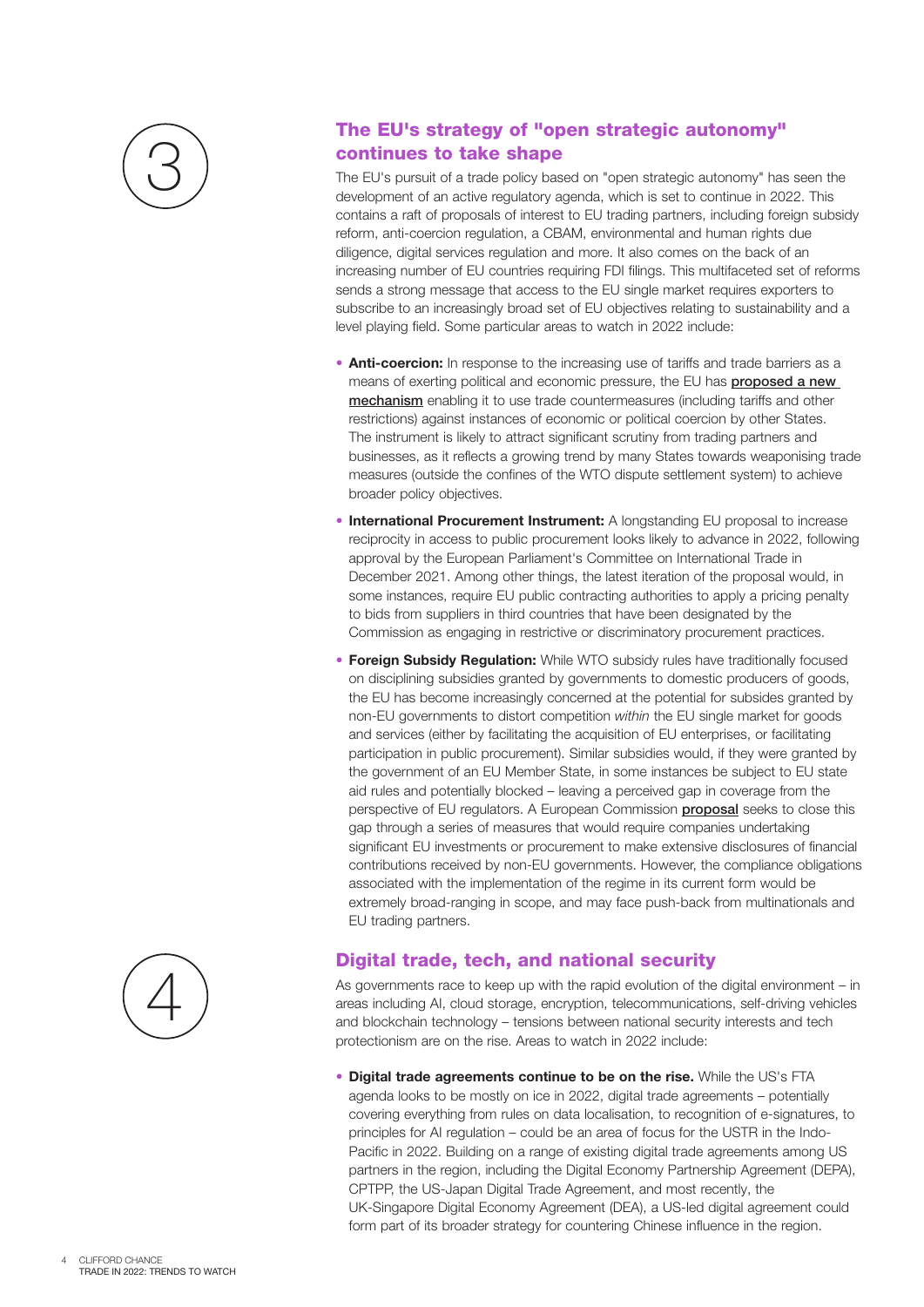

### The EU's strategy of "open strategic autonomy" continues to take shape

The EU's pursuit of a trade policy based on "open strategic autonomy" has seen the development of an active regulatory agenda, which is set to continue in 2022. This contains a raft of proposals of interest to EU trading partners, including foreign subsidy reform, anti-coercion regulation, a CBAM, environmental and human rights due diligence, digital services regulation and more. It also comes on the back of an increasing number of EU countries requiring FDI filings. This multifaceted set of reforms sends a strong message that access to the EU single market requires exporters to subscribe to an increasingly broad set of EU objectives relating to sustainability and a level playing field. Some particular areas to watch in 2022 include:

- **Anti-coercion:** In response to the increasing use of tariffs and trade barriers as a means of exerting political and economic pressure, the EU has **proposed a new** [mechanism](https://trade.ec.europa.eu/doclib/press/index.cfm?id=2339) enabling it to use trade countermeasures (including tariffs and other restrictions) against instances of economic or political coercion by other States. The instrument is likely to attract significant scrutiny from trading partners and businesses, as it reflects a growing trend by many States towards weaponising trade measures (outside the confines of the WTO dispute settlement system) to achieve broader policy objectives.
- **International Procurement Instrument:** A longstanding EU proposal to increase reciprocity in access to public procurement looks likely to advance in 2022, following approval by the European Parliament's Committee on International Trade in December 2021. Among other things, the latest iteration of the proposal would, in some instances, require EU public contracting authorities to apply a pricing penalty to bids from suppliers in third countries that have been designated by the Commission as engaging in restrictive or discriminatory procurement practices.
- **Foreign Subsidy Regulation:** While WTO subsidy rules have traditionally focused on disciplining subsidies granted by governments to domestic producers of goods, the EU has become increasingly concerned at the potential for subsides granted by non-EU governments to distort competition *within* the EU single market for goods and services (either by facilitating the acquisition of EU enterprises, or facilitating participation in public procurement). Similar subsidies would, if they were granted by the government of an EU Member State, in some instances be subject to EU state aid rules and potentially blocked – leaving a perceived gap in coverage from the perspective of EU regulators. A European Commission **[proposal](https://www.cliffordchance.com/content/dam/cliffordchance/briefings/2021/05/foreign-subsidies-regulation.pdf)** seeks to close this gap through a series of measures that would require companies undertaking significant EU investments or procurement to make extensive disclosures of financial contributions received by non-EU governments. However, the compliance obligations associated with the implementation of the regime in its current form would be extremely broad-ranging in scope, and may face push-back from multinationals and EU trading partners.

### Digital trade, tech, and national security

As governments race to keep up with the rapid evolution of the digital environment – in areas including AI, cloud storage, encryption, telecommunications, self-driving vehicles and blockchain technology – tensions between national security interests and tech protectionism are on the rise. Areas to watch in 2022 include:

• **Digital trade agreements continue to be on the rise.** While the US's FTA agenda looks to be mostly on ice in 2022, digital trade agreements – potentially covering everything from rules on data localisation, to recognition of e-signatures, to principles for AI regulation – could be an area of focus for the USTR in the Indo-Pacific in 2022. Building on a range of existing digital trade agreements among US partners in the region, including the Digital Economy Partnership Agreement (DEPA), CPTPP, the US-Japan Digital Trade Agreement, and most recently, the UK-Singapore Digital Economy Agreement (DEA), a US-led digital agreement could form part of its broader strategy for countering Chinese influence in the region.

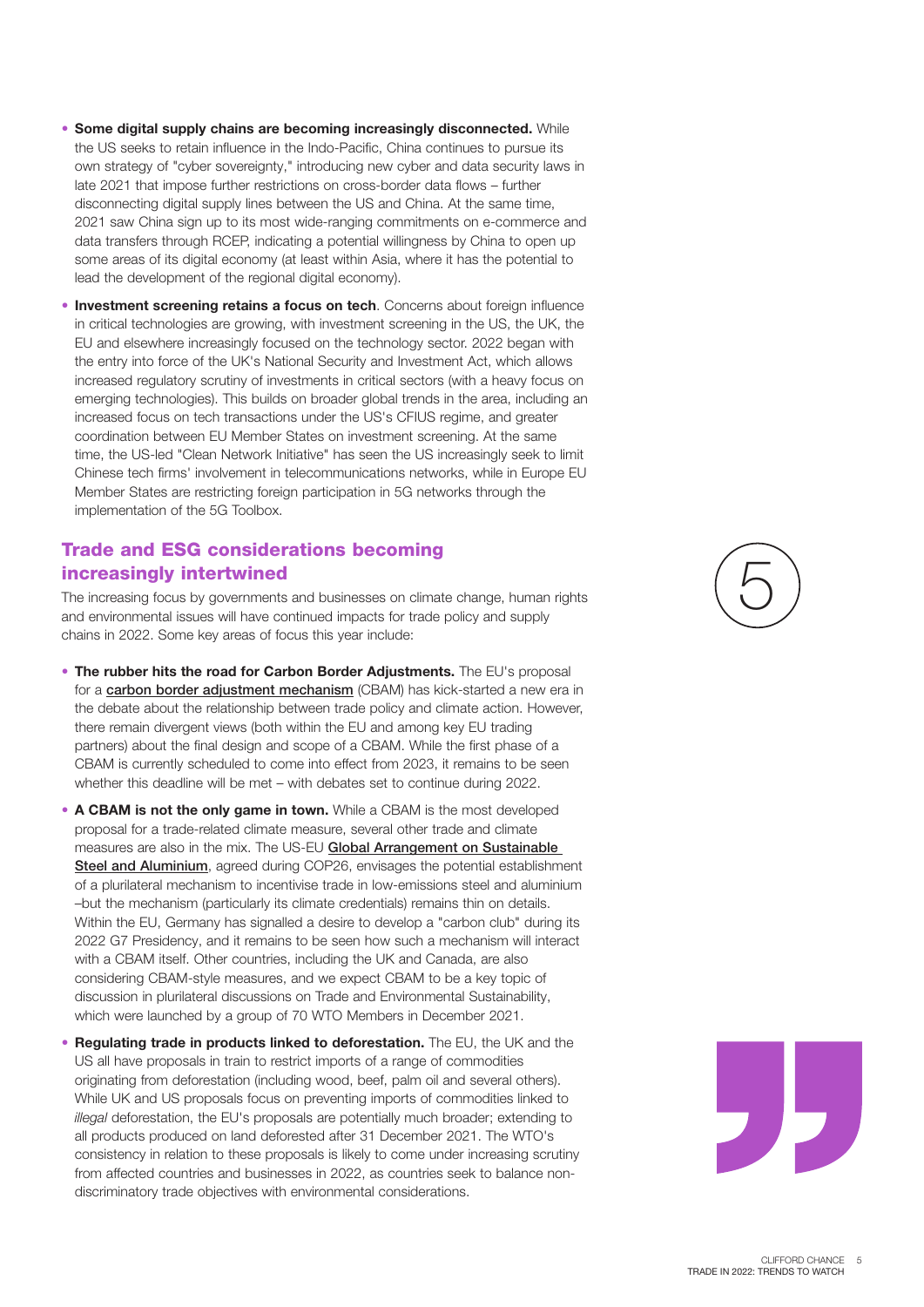- **Some digital supply chains are becoming increasingly disconnected.** While the US seeks to retain influence in the Indo-Pacific, China continues to pursue its own strategy of "cyber sovereignty," introducing new cyber and data security laws in late 2021 that impose further restrictions on cross-border data flows – further disconnecting digital supply lines between the US and China. At the same time, 2021 saw China sign up to its most wide-ranging commitments on e-commerce and data transfers through RCEP, indicating a potential willingness by China to open up some areas of its digital economy (at least within Asia, where it has the potential to lead the development of the regional digital economy).
- **Investment screening retains a focus on tech**. Concerns about foreign influence in critical technologies are growing, with investment screening in the US, the UK, the EU and elsewhere increasingly focused on the technology sector. 2022 began with the entry into force of the UK's National Security and Investment Act, which allows increased regulatory scrutiny of investments in critical sectors (with a heavy focus on emerging technologies). This builds on broader global trends in the area, including an increased focus on tech transactions under the US's CFIUS regime, and greater coordination between EU Member States on investment screening. At the same time, the US-led "Clean Network Initiative" has seen the US increasingly seek to limit Chinese tech firms' involvement in telecommunications networks, while in Europe EU Member States are restricting foreign participation in 5G networks through the implementation of the 5G Toolbox.

#### Trade and ESG considerations becoming increasingly intertwined

The increasing focus by governments and businesses on climate change, human rights and environmental issues will have continued impacts for trade policy and supply chains in 2022. Some key areas of focus this year include:

- **The rubber hits the road for Carbon Border Adjustments.** The EU's proposal for a [carbon border adjustment mechanism](https://www.cliffordchance.com/briefings/2021/07/10-questions-on-the-proposed-carbon-border-adjustment-mechanism.html) (CBAM) has kick-started a new era in the debate about the relationship between trade policy and climate action. However, there remain divergent views (both within the EU and among key EU trading partners) about the final design and scope of a CBAM. While the first phase of a CBAM is currently scheduled to come into effect from 2023, it remains to be seen whether this deadline will be met – with debates set to continue during 2022.
- **A CBAM is not the only game in town.** While a CBAM is the most developed proposal for a trade-related climate measure, several other trade and climate measures are also in the mix. The US-EU Global Arrangement on Sustainable [Steel and Aluminium](https://ec.europa.eu/commission/presscorner/detail/en/IP_21_5724), agreed during COP26, envisages the potential establishment of a plurilateral mechanism to incentivise trade in low-emissions steel and aluminium –but the mechanism (particularly its climate credentials) remains thin on details. Within the EU, Germany has signalled a desire to develop a "carbon club" during its 2022 G7 Presidency, and it remains to be seen how such a mechanism will interact with a CBAM itself. Other countries, including the UK and Canada, are also considering CBAM-style measures, and we expect CBAM to be a key topic of discussion in plurilateral discussions on Trade and Environmental Sustainability, which were launched by a group of 70 WTO Members in December 2021.
- **Regulating trade in products linked to deforestation.** The EU, the UK and the US all have proposals in train to restrict imports of a range of commodities originating from deforestation (including wood, beef, palm oil and several others). While UK and US proposals focus on preventing imports of commodities linked to *illegal* deforestation, the EU's proposals are potentially much broader; extending to all products produced on land deforested after 31 December 2021. The WTO's consistency in relation to these proposals is likely to come under increasing scrutiny from affected countries and businesses in 2022, as countries seek to balance nondiscriminatory trade objectives with environmental considerations.



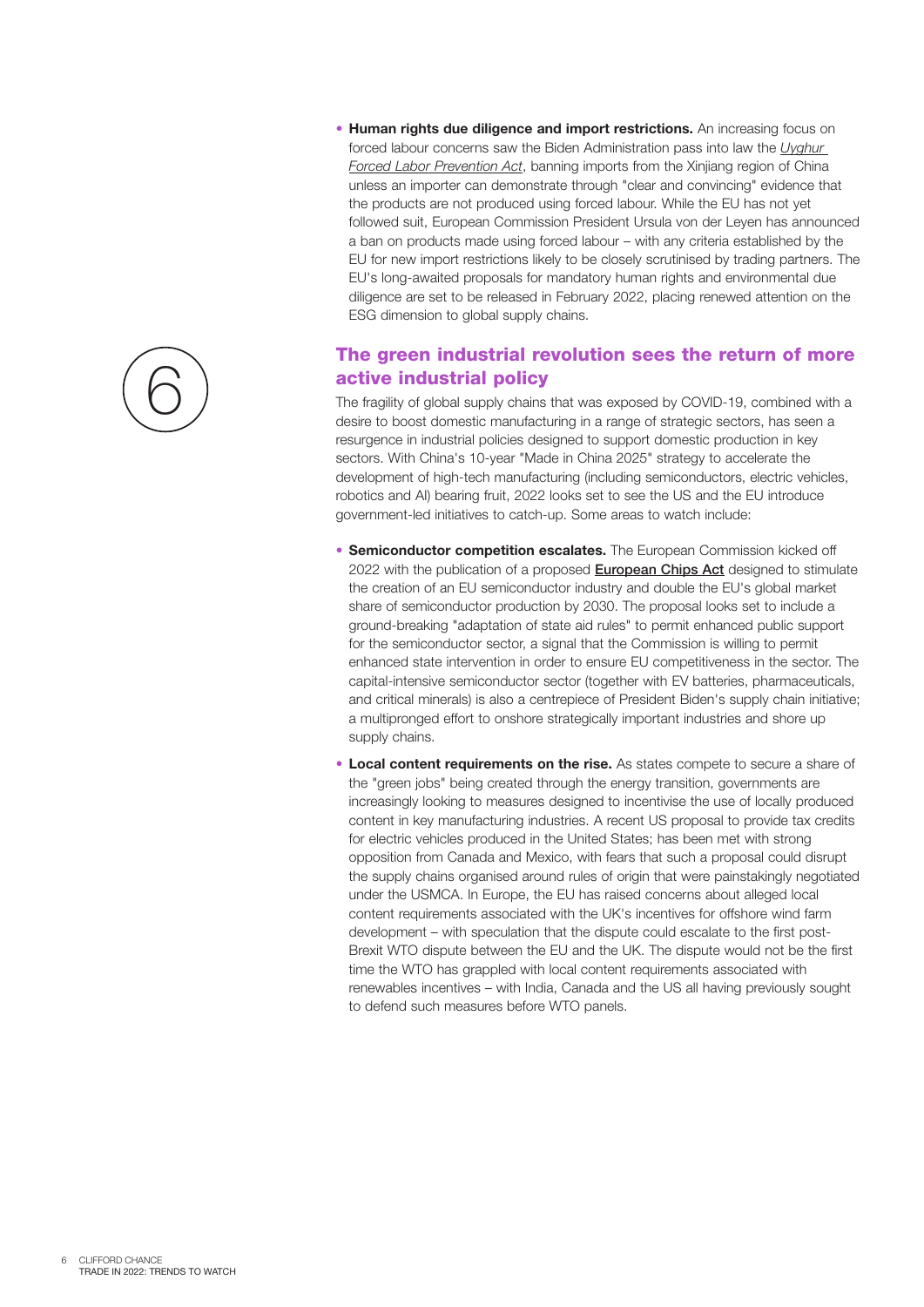- 6
- **Human rights due diligence and import restrictions.** An increasing focus on forced labour concerns saw the Biden Administration pass into law the *[Uyghur](https://www.congress.gov/bill/117th-congress/house-bill/1155/text)  [Forced Labor Prevention Act](https://www.congress.gov/bill/117th-congress/house-bill/1155/text)*, banning imports from the Xinjiang region of China unless an importer can demonstrate through "clear and convincing" evidence that the products are not produced using forced labour. While the EU has not yet followed suit, European Commission President Ursula von der Leyen has announced a ban on products made using forced labour – with any criteria established by the EU for new import restrictions likely to be closely scrutinised by trading partners. The EU's long-awaited proposals for mandatory human rights and environmental due diligence are set to be released in February 2022, placing renewed attention on the ESG dimension to global supply chains.

### The green industrial revolution sees the return of more active industrial policy

The fragility of global supply chains that was exposed by COVID-19, combined with a desire to boost domestic manufacturing in a range of strategic sectors, has seen a resurgence in industrial policies designed to support domestic production in key sectors. With China's 10-year "Made in China 2025" strategy to accelerate the development of high-tech manufacturing (including semiconductors, electric vehicles, robotics and AI) bearing fruit, 2022 looks set to see the US and the EU introduce government-led initiatives to catch-up. Some areas to watch include:

- **Semiconductor competition escalates.** The European Commission kicked off 2022 with the publication of a proposed **[European Chips Act](https://www.europarl.europa.eu/legislative-train/theme-a-europe-fit-for-the-digital-age/file-european-chips-act-(semiconductors))** designed to stimulate the creation of an EU semiconductor industry and double the EU's global market share of semiconductor production by 2030. The proposal looks set to include a ground-breaking "adaptation of state aid rules" to permit enhanced public support for the semiconductor sector, a signal that the Commission is willing to permit enhanced state intervention in order to ensure EU competitiveness in the sector. The capital-intensive semiconductor sector (together with EV batteries, pharmaceuticals, and critical minerals) is also a centrepiece of President Biden's supply chain initiative; a multipronged effort to onshore strategically important industries and shore up supply chains.
- **Local content requirements on the rise.** As states compete to secure a share of the "green jobs" being created through the energy transition, governments are increasingly looking to measures designed to incentivise the use of locally produced content in key manufacturing industries. A recent US proposal to provide tax credits for electric vehicles produced in the United States; has been met with strong opposition from Canada and Mexico, with fears that such a proposal could disrupt the supply chains organised around rules of origin that were painstakingly negotiated under the USMCA. In Europe, the EU has raised concerns about alleged local content requirements associated with the UK's incentives for offshore wind farm development – with speculation that the dispute could escalate to the first post-Brexit WTO dispute between the EU and the UK. The dispute would not be the first time the WTO has grappled with local content requirements associated with renewables incentives – with India, Canada and the US all having previously sought to defend such measures before WTO panels.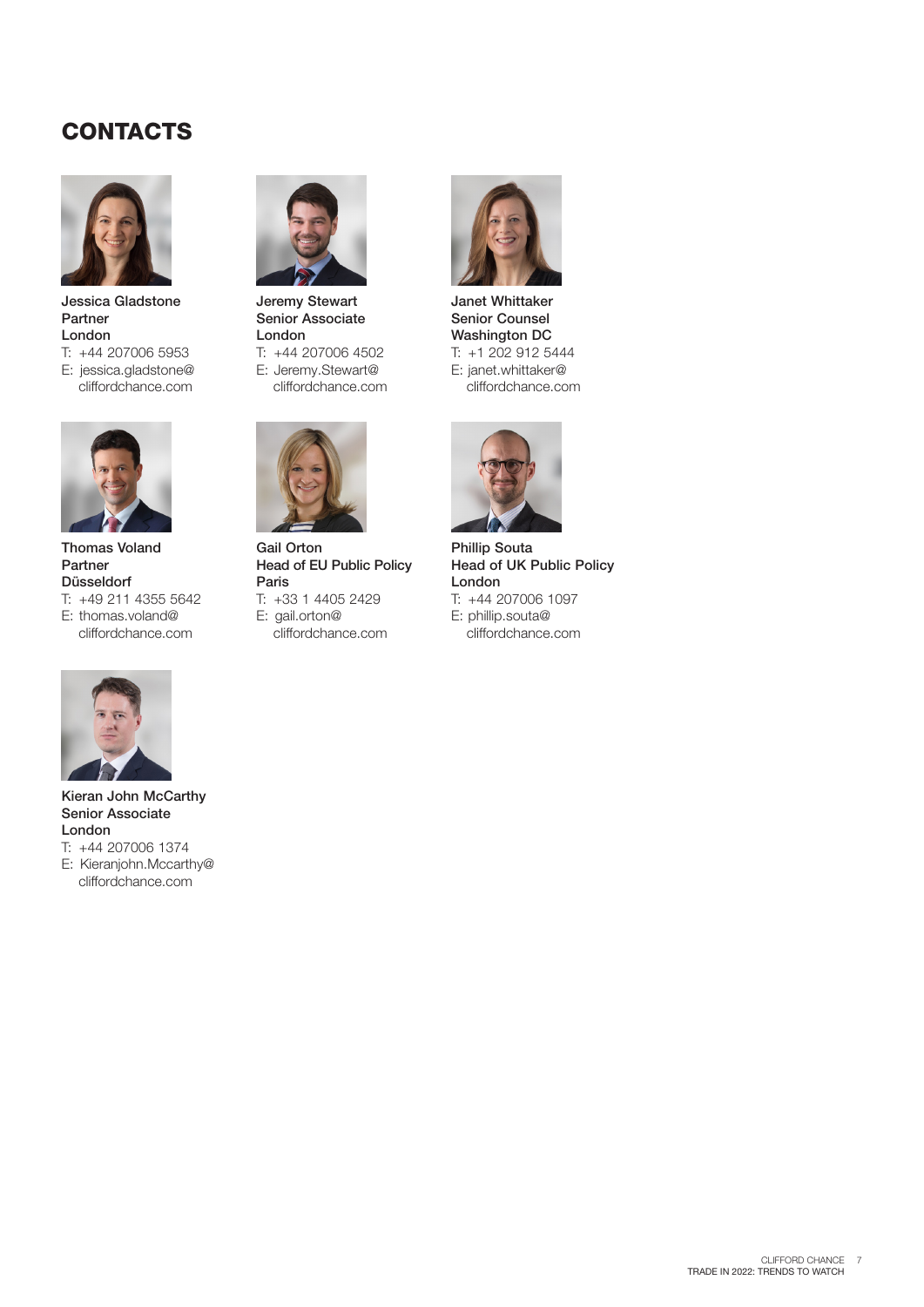## **CONTACTS**



Jessica Gladstone Partner London

- T: +44 207006 5953
- E: jessica.gladstone@ cliffordchance.com



Thomas Voland Partner Düsseldorf T: +49 211 4355 5642

E: thomas.voland@ cliffordchance.com



Jeremy Stewart Senior Associate London T: +44 207006 4502

E: Jeremy.Stewart@ cliffordchance.com



Gail Orton Head of EU Public Policy Paris T: +33 1 4405 2429 E: gail.orton@ cliffordchance.com



Janet Whittaker Senior Counsel Washington DC T: +1 202 912 5444 E: janet.whittaker@ cliffordchance.com



Phillip Souta Head of UK Public Policy London T: +44 207006 1097 E: phillip.souta@ cliffordchance.com



Kieran John McCarthy Senior Associate London T: +44 207006 1374 E: Kieranjohn.Mccarthy@ cliffordchance.com